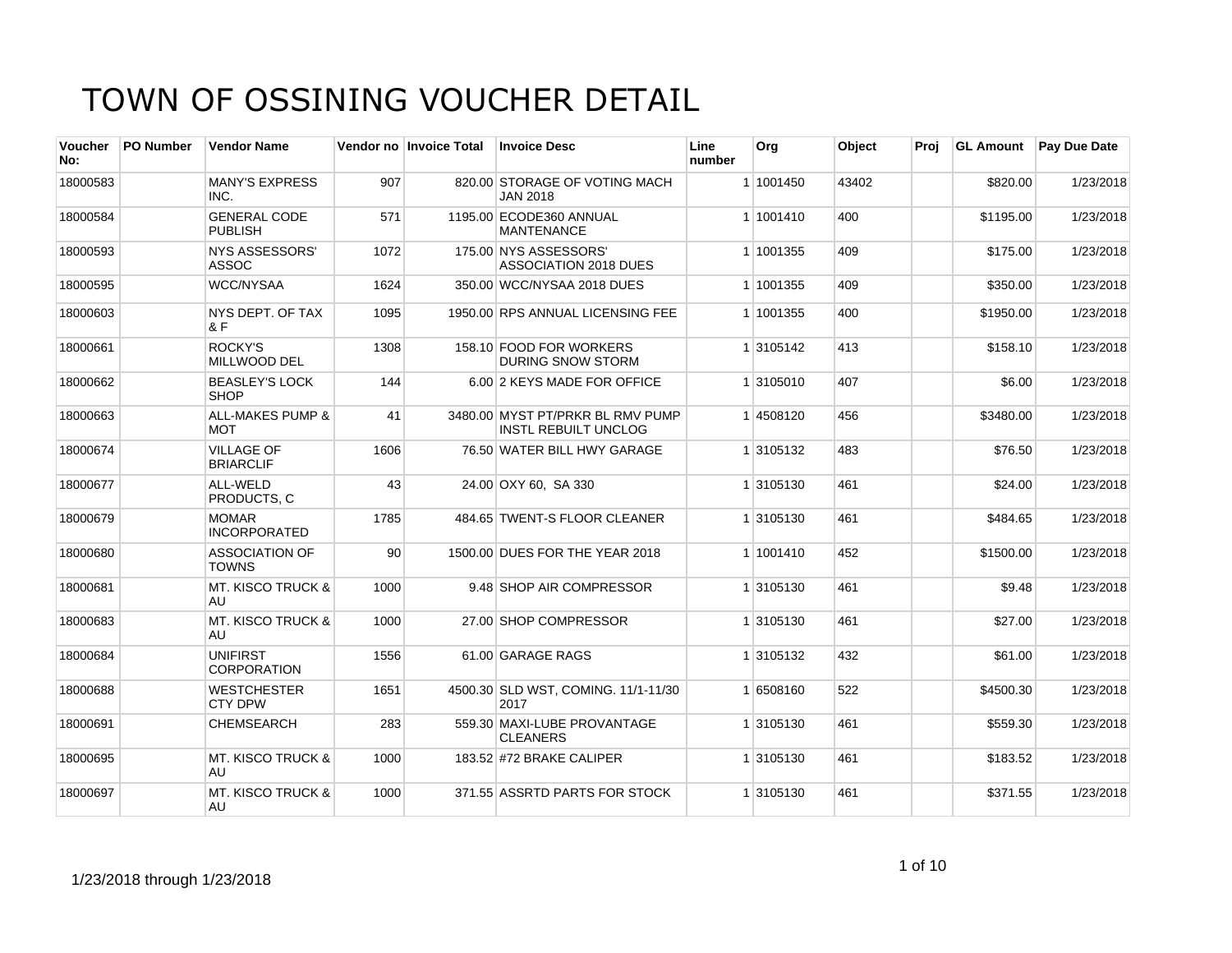| <b>Voucher</b><br>No: | <b>PO Number</b> | <b>Vendor Name</b>                        |      | Vendor no Invoice Total | <b>Invoice Desc</b>                                             | Line<br>number | Org       | Object | Proi |           | GL Amount Pay Due Date |
|-----------------------|------------------|-------------------------------------------|------|-------------------------|-----------------------------------------------------------------|----------------|-----------|--------|------|-----------|------------------------|
| 18000583              |                  | <b>MANY'S EXPRESS</b><br>INC.             | 907  |                         | 820.00 STORAGE OF VOTING MACH<br><b>JAN 2018</b>                |                | 1 1001450 | 43402  |      | \$820.00  | 1/23/2018              |
| 18000584              |                  | <b>GENERAL CODE</b><br><b>PUBLISH</b>     | 571  |                         | 1195.00 ECODE360 ANNUAL<br><b>MANTENANCE</b>                    |                | 1 1001410 | 400    |      | \$1195.00 | 1/23/2018              |
| 18000593              |                  | <b>NYS ASSESSORS'</b><br><b>ASSOC</b>     | 1072 |                         | 175.00 NYS ASSESSORS'<br><b>ASSOCIATION 2018 DUES</b>           |                | 1 1001355 | 409    |      | \$175.00  | 1/23/2018              |
| 18000595              |                  | <b>WCC/NYSAA</b>                          | 1624 |                         | 350.00 WCC/NYSAA 2018 DUES                                      |                | 1 1001355 | 409    |      | \$350.00  | 1/23/2018              |
| 18000603              |                  | NYS DEPT. OF TAX<br>& F                   | 1095 |                         | 1950.00 RPS ANNUAL LICENSING FEE                                |                | 1 1001355 | 400    |      | \$1950.00 | 1/23/2018              |
| 18000661              |                  | ROCKY'S<br>MILLWOOD DEL                   | 1308 |                         | 158.10 FOOD FOR WORKERS<br><b>DURING SNOW STORM</b>             |                | 1 3105142 | 413    |      | \$158.10  | 1/23/2018              |
| 18000662              |                  | <b>BEASLEY'S LOCK</b><br><b>SHOP</b>      | 144  |                         | 6.00 2 KEYS MADE FOR OFFICE                                     |                | 1 3105010 | 407    |      | \$6.00    | 1/23/2018              |
| 18000663              |                  | <b>ALL-MAKES PUMP &amp;</b><br><b>MOT</b> | 41   |                         | 3480.00 MYST PT/PRKR BL RMV PUMP<br><b>INSTL REBUILT UNCLOG</b> |                | 14508120  | 456    |      | \$3480.00 | 1/23/2018              |
| 18000674              |                  | <b>VILLAGE OF</b><br><b>BRIARCLIF</b>     | 1606 |                         | 76.50 WATER BILL HWY GARAGE                                     |                | 1 3105132 | 483    |      | \$76.50   | 1/23/2018              |
| 18000677              |                  | ALL-WELD<br>PRODUCTS, C                   | 43   |                         | 24.00 OXY 60, SA 330                                            |                | 1 3105130 | 461    |      | \$24.00   | 1/23/2018              |
| 18000679              |                  | <b>MOMAR</b><br><b>INCORPORATED</b>       | 1785 |                         | 484.65 TWENT-S FLOOR CLEANER                                    |                | 1 3105130 | 461    |      | \$484.65  | 1/23/2018              |
| 18000680              |                  | <b>ASSOCIATION OF</b><br><b>TOWNS</b>     | 90   |                         | 1500.00 DUES FOR THE YEAR 2018                                  |                | 1 1001410 | 452    |      | \$1500.00 | 1/23/2018              |
| 18000681              |                  | <b>MT. KISCO TRUCK &amp;</b><br>AU.       | 1000 |                         | 9.48 SHOP AIR COMPRESSOR                                        |                | 1 3105130 | 461    |      | \$9.48    | 1/23/2018              |
| 18000683              |                  | <b>MT. KISCO TRUCK &amp;</b><br>AU        | 1000 |                         | 27.00 SHOP COMPRESSOR                                           |                | 1 3105130 | 461    |      | \$27.00   | 1/23/2018              |
| 18000684              |                  | <b>UNIFIRST</b><br><b>CORPORATION</b>     | 1556 |                         | 61.00 GARAGE RAGS                                               |                | 1 3105132 | 432    |      | \$61.00   | 1/23/2018              |
| 18000688              |                  | <b>WESTCHESTER</b><br><b>CTY DPW</b>      | 1651 |                         | 4500.30 SLD WST, COMING. 11/1-11/30<br>2017                     |                | 1 6508160 | 522    |      | \$4500.30 | 1/23/2018              |
| 18000691              |                  | <b>CHEMSEARCH</b>                         | 283  |                         | 559.30 MAXI-LUBE PROVANTAGE<br><b>CLEANERS</b>                  |                | 1 3105130 | 461    |      | \$559.30  | 1/23/2018              |
| 18000695              |                  | <b>MT. KISCO TRUCK &amp;</b><br>AU        | 1000 |                         | 183.52 #72 BRAKE CALIPER                                        |                | 1 3105130 | 461    |      | \$183.52  | 1/23/2018              |
| 18000697              |                  | <b>MT. KISCO TRUCK &amp;</b><br>AU        | 1000 |                         | 371.55 ASSRTD PARTS FOR STOCK                                   |                | 1 3105130 | 461    |      | \$371.55  | 1/23/2018              |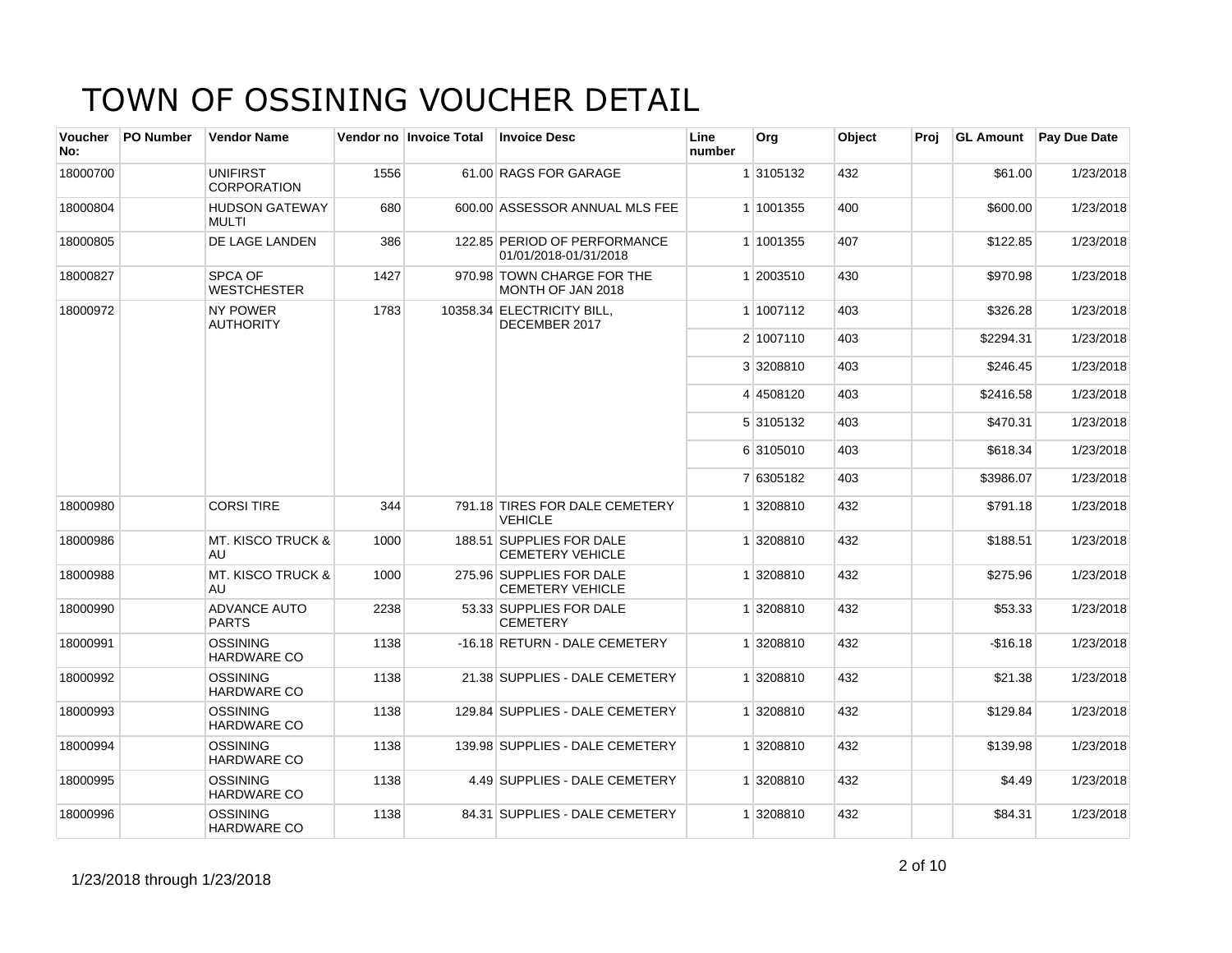| Voucher<br>No: | <b>PO Number</b> | <b>Vendor Name</b>                    |      | Vendor no Invoice Total | <b>Invoice Desc</b>                                   | Line<br>number | Org       | Object | Proi | <b>GL Amount</b> | <b>Pay Due Date</b> |
|----------------|------------------|---------------------------------------|------|-------------------------|-------------------------------------------------------|----------------|-----------|--------|------|------------------|---------------------|
| 18000700       |                  | <b>UNIFIRST</b><br><b>CORPORATION</b> | 1556 |                         | 61.00 RAGS FOR GARAGE                                 |                | 1 3105132 | 432    |      | \$61.00          | 1/23/2018           |
| 18000804       |                  | <b>HUDSON GATEWAY</b><br>MULTI        | 680  |                         | 600.00 ASSESSOR ANNUAL MLS FEE                        |                | 1 1001355 | 400    |      | \$600.00         | 1/23/2018           |
| 18000805       |                  | DE LAGE LANDEN                        | 386  |                         | 122.85 PERIOD OF PERFORMANCE<br>01/01/2018-01/31/2018 |                | 1 1001355 | 407    |      | \$122.85         | 1/23/2018           |
| 18000827       |                  | SPCA OF<br><b>WESTCHESTER</b>         | 1427 |                         | 970.98 TOWN CHARGE FOR THE<br>MONTH OF JAN 2018       |                | 1 2003510 | 430    |      | \$970.98         | 1/23/2018           |
| 18000972       |                  | <b>NY POWER</b><br><b>AUTHORITY</b>   | 1783 |                         | 10358.34 ELECTRICITY BILL,<br>DECEMBER 2017           |                | 1 1007112 | 403    |      | \$326.28         | 1/23/2018           |
|                |                  |                                       |      |                         |                                                       |                | 2 1007110 | 403    |      | \$2294.31        | 1/23/2018           |
|                |                  |                                       |      |                         |                                                       |                | 3 3208810 | 403    |      | \$246.45         | 1/23/2018           |
|                |                  |                                       |      |                         |                                                       |                | 4 4508120 | 403    |      | \$2416.58        | 1/23/2018           |
|                |                  |                                       |      |                         |                                                       |                | 5 3105132 | 403    |      | \$470.31         | 1/23/2018           |
|                |                  |                                       |      |                         |                                                       |                | 6 3105010 | 403    |      | \$618.34         | 1/23/2018           |
|                |                  |                                       |      |                         |                                                       |                | 7 6305182 | 403    |      | \$3986.07        | 1/23/2018           |
| 18000980       |                  | <b>CORSI TIRE</b>                     | 344  |                         | 791.18 TIRES FOR DALE CEMETERY<br><b>VEHICLE</b>      |                | 1 3208810 | 432    |      | \$791.18         | 1/23/2018           |
| 18000986       |                  | <b>MT. KISCO TRUCK &amp;</b><br>AU    | 1000 |                         | 188.51 SUPPLIES FOR DALE<br><b>CEMETERY VEHICLE</b>   |                | 1 3208810 | 432    |      | \$188.51         | 1/23/2018           |
| 18000988       |                  | <b>MT. KISCO TRUCK &amp;</b><br>AU    | 1000 |                         | 275.96 SUPPLIES FOR DALE<br><b>CEMETERY VEHICLE</b>   |                | 1 3208810 | 432    |      | \$275.96         | 1/23/2018           |
| 18000990       |                  | <b>ADVANCE AUTO</b><br><b>PARTS</b>   | 2238 |                         | 53.33 SUPPLIES FOR DALE<br><b>CEMETERY</b>            |                | 1 3208810 | 432    |      | \$53.33          | 1/23/2018           |
| 18000991       |                  | <b>OSSINING</b><br><b>HARDWARE CO</b> | 1138 |                         | -16.18 RETURN - DALE CEMETERY                         |                | 1 3208810 | 432    |      | $-$16.18$        | 1/23/2018           |
| 18000992       |                  | <b>OSSINING</b><br><b>HARDWARE CO</b> | 1138 |                         | 21.38 SUPPLIES - DALE CEMETERY                        |                | 1 3208810 | 432    |      | \$21.38          | 1/23/2018           |
| 18000993       |                  | <b>OSSINING</b><br><b>HARDWARE CO</b> | 1138 |                         | 129.84 SUPPLIES - DALE CEMETERY                       |                | 1 3208810 | 432    |      | \$129.84         | 1/23/2018           |
| 18000994       |                  | <b>OSSINING</b><br><b>HARDWARE CO</b> | 1138 |                         | 139.98 SUPPLIES - DALE CEMETERY                       |                | 1 3208810 | 432    |      | \$139.98         | 1/23/2018           |
| 18000995       |                  | <b>OSSINING</b><br><b>HARDWARE CO</b> | 1138 |                         | 4.49 SUPPLIES - DALE CEMETERY                         |                | 1 3208810 | 432    |      | \$4.49           | 1/23/2018           |
| 18000996       |                  | <b>OSSINING</b><br><b>HARDWARE CO</b> | 1138 |                         | 84.31 SUPPLIES - DALE CEMETERY                        |                | 1 3208810 | 432    |      | \$84.31          | 1/23/2018           |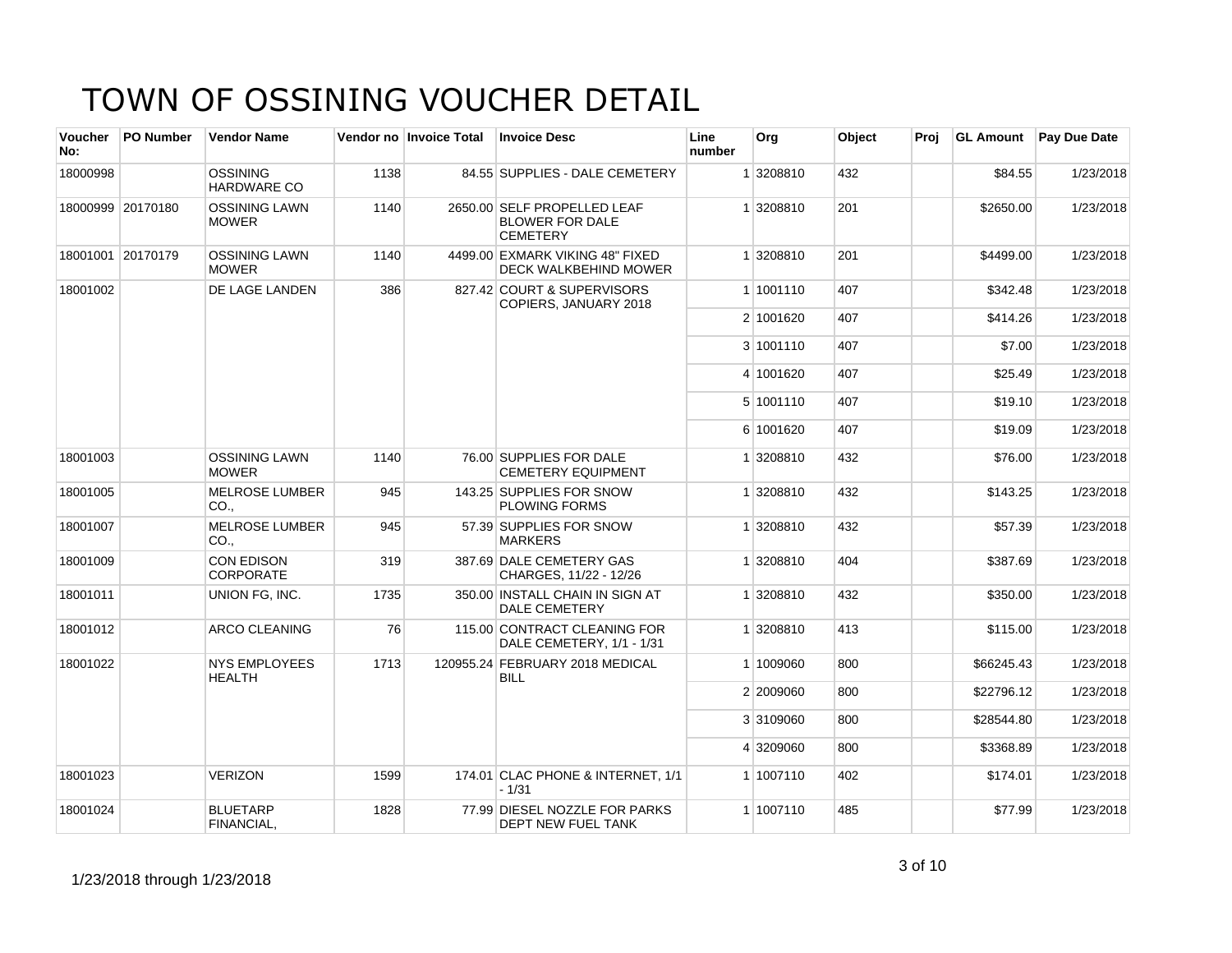| <b>Voucher</b><br>No: | <b>PO Number</b>  | <b>Vendor Name</b>                    |      | Vendor no Invoice Total | <b>Invoice Desc</b>                                                      | Line<br>number | Org       | Object | Proj | <b>GL Amount</b> | Pay Due Date |
|-----------------------|-------------------|---------------------------------------|------|-------------------------|--------------------------------------------------------------------------|----------------|-----------|--------|------|------------------|--------------|
| 18000998              |                   | <b>OSSINING</b><br>HARDWARE CO        | 1138 |                         | 84.55 SUPPLIES - DALE CEMETERY                                           |                | 1 3208810 | 432    |      | \$84.55          | 1/23/2018    |
|                       | 18000999 20170180 | <b>OSSINING LAWN</b><br><b>MOWER</b>  | 1140 |                         | 2650.00 SELF PROPELLED LEAF<br><b>BLOWER FOR DALE</b><br><b>CEMETERY</b> |                | 1 3208810 | 201    |      | \$2650.00        | 1/23/2018    |
|                       | 18001001 20170179 | <b>OSSINING LAWN</b><br><b>MOWER</b>  | 1140 |                         | 4499.00 EXMARK VIKING 48" FIXED<br>DECK WALKBEHIND MOWER                 |                | 1 3208810 | 201    |      | \$4499.00        | 1/23/2018    |
| 18001002              |                   | DE LAGE LANDEN                        | 386  |                         | 827.42 COURT & SUPERVISORS<br>COPIERS, JANUARY 2018                      |                | 1 1001110 | 407    |      | \$342.48         | 1/23/2018    |
|                       |                   |                                       |      |                         |                                                                          |                | 2 1001620 | 407    |      | \$414.26         | 1/23/2018    |
|                       |                   |                                       |      |                         |                                                                          |                | 3 1001110 | 407    |      | \$7.00           | 1/23/2018    |
|                       |                   |                                       |      |                         |                                                                          |                | 4 1001620 | 407    |      | \$25.49          | 1/23/2018    |
|                       |                   |                                       |      |                         |                                                                          |                | 5 1001110 | 407    |      | \$19.10          | 1/23/2018    |
|                       |                   |                                       |      |                         |                                                                          |                | 6 1001620 | 407    |      | \$19.09          | 1/23/2018    |
| 18001003              |                   | <b>OSSINING LAWN</b><br><b>MOWER</b>  | 1140 |                         | 76.00 SUPPLIES FOR DALE<br><b>CEMETERY EQUIPMENT</b>                     |                | 1 3208810 | 432    |      | \$76.00          | 1/23/2018    |
| 18001005              |                   | <b>MELROSE LUMBER</b><br>CO.,         | 945  |                         | 143.25 SUPPLIES FOR SNOW<br><b>PLOWING FORMS</b>                         |                | 1 3208810 | 432    |      | \$143.25         | 1/23/2018    |
| 18001007              |                   | <b>MELROSE LUMBER</b><br>CO.,         | 945  |                         | 57.39 SUPPLIES FOR SNOW<br><b>MARKERS</b>                                |                | 1 3208810 | 432    |      | \$57.39          | 1/23/2018    |
| 18001009              |                   | CON EDISON<br><b>CORPORATE</b>        | 319  |                         | 387.69 DALE CEMETERY GAS<br>CHARGES, 11/22 - 12/26                       |                | 1 3208810 | 404    |      | \$387.69         | 1/23/2018    |
| 18001011              |                   | UNION FG, INC.                        | 1735 |                         | 350.00 INSTALL CHAIN IN SIGN AT<br><b>DALE CEMETERY</b>                  |                | 1 3208810 | 432    |      | \$350.00         | 1/23/2018    |
| 18001012              |                   | ARCO CLEANING                         | 76   |                         | 115.00 CONTRACT CLEANING FOR<br>DALE CEMETERY, 1/1 - 1/31                |                | 1 3208810 | 413    |      | \$115.00         | 1/23/2018    |
| 18001022              |                   | <b>NYS EMPLOYEES</b><br><b>HEALTH</b> | 1713 |                         | 120955.24 FEBRUARY 2018 MEDICAL<br><b>BILL</b>                           |                | 1 1009060 | 800    |      | \$66245.43       | 1/23/2018    |
|                       |                   |                                       |      |                         |                                                                          |                | 2 2009060 | 800    |      | \$22796.12       | 1/23/2018    |
|                       |                   |                                       |      |                         |                                                                          |                | 3 3109060 | 800    |      | \$28544.80       | 1/23/2018    |
|                       |                   |                                       |      |                         |                                                                          |                | 4 3209060 | 800    |      | \$3368.89        | 1/23/2018    |
| 18001023              |                   | <b>VERIZON</b>                        | 1599 |                         | 174.01 CLAC PHONE & INTERNET, 1/1<br>$-1/31$                             |                | 1 1007110 | 402    |      | \$174.01         | 1/23/2018    |
| 18001024              |                   | <b>BLUETARP</b><br>FINANCIAL,         | 1828 |                         | 77.99 DIESEL NOZZLE FOR PARKS<br><b>DEPT NEW FUEL TANK</b>               |                | 1 1007110 | 485    |      | \$77.99          | 1/23/2018    |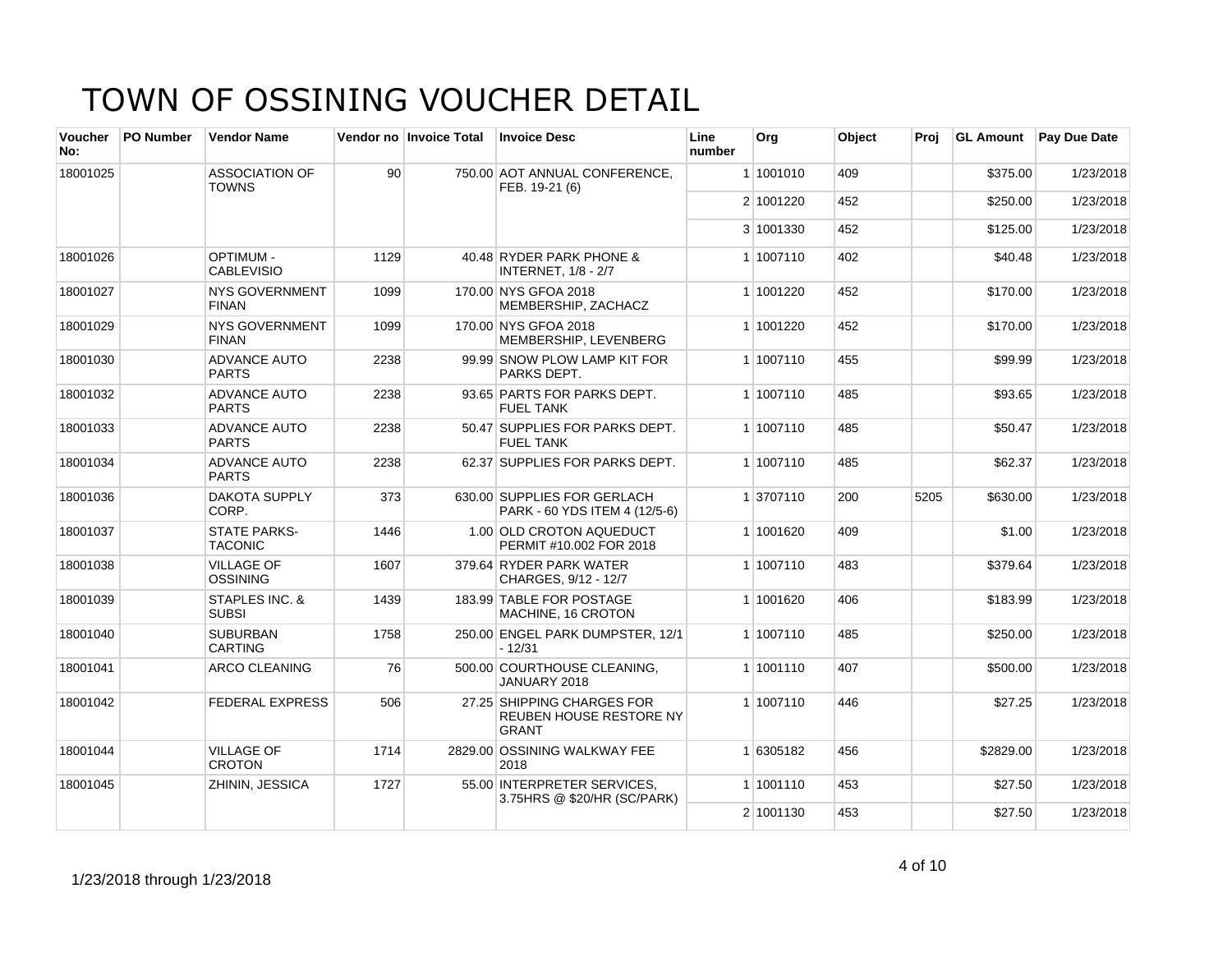| Voucher<br>No: | <b>PO Number</b> | <b>Vendor Name</b>                    |      | Vendor no Invoice Total | <b>Invoice Desc</b>                                                          | Line<br>number | Org       | Object | Proj | <b>GL Amount</b> | <b>Pay Due Date</b> |
|----------------|------------------|---------------------------------------|------|-------------------------|------------------------------------------------------------------------------|----------------|-----------|--------|------|------------------|---------------------|
| 18001025       |                  | <b>ASSOCIATION OF</b><br><b>TOWNS</b> | 90   |                         | 750.00 AOT ANNUAL CONFERENCE,<br>FEB. 19-21 (6)                              |                | 1 1001010 | 409    |      | \$375.00         | 1/23/2018           |
|                |                  |                                       |      |                         |                                                                              |                | 2 1001220 | 452    |      | \$250.00         | 1/23/2018           |
|                |                  |                                       |      |                         |                                                                              |                | 3 1001330 | 452    |      | \$125.00         | 1/23/2018           |
| 18001026       |                  | <b>OPTIMUM -</b><br><b>CABLEVISIO</b> | 1129 |                         | 40.48 RYDER PARK PHONE &<br><b>INTERNET, 1/8 - 2/7</b>                       |                | 1 1007110 | 402    |      | \$40.48          | 1/23/2018           |
| 18001027       |                  | <b>NYS GOVERNMENT</b><br><b>FINAN</b> | 1099 |                         | 170.00 NYS GFOA 2018<br>MEMBERSHIP, ZACHACZ                                  |                | 1 1001220 | 452    |      | \$170.00         | 1/23/2018           |
| 18001029       |                  | <b>NYS GOVERNMENT</b><br><b>FINAN</b> | 1099 |                         | 170.00 NYS GFOA 2018<br>MEMBERSHIP, LEVENBERG                                |                | 1 1001220 | 452    |      | \$170.00         | 1/23/2018           |
| 18001030       |                  | <b>ADVANCE AUTO</b><br><b>PARTS</b>   | 2238 |                         | 99.99 SNOW PLOW LAMP KIT FOR<br>PARKS DEPT.                                  |                | 1 1007110 | 455    |      | \$99.99          | 1/23/2018           |
| 18001032       |                  | <b>ADVANCE AUTO</b><br>PARTS          | 2238 |                         | 93.65 PARTS FOR PARKS DEPT.<br><b>FUEL TANK</b>                              |                | 1 1007110 | 485    |      | \$93.65          | 1/23/2018           |
| 18001033       |                  | <b>ADVANCE AUTO</b><br><b>PARTS</b>   | 2238 |                         | 50.47 SUPPLIES FOR PARKS DEPT.<br><b>FUEL TANK</b>                           |                | 1 1007110 | 485    |      | \$50.47          | 1/23/2018           |
| 18001034       |                  | <b>ADVANCE AUTO</b><br><b>PARTS</b>   | 2238 |                         | 62.37 SUPPLIES FOR PARKS DEPT.                                               |                | 1 1007110 | 485    |      | \$62.37          | 1/23/2018           |
| 18001036       |                  | <b>DAKOTA SUPPLY</b><br>CORP.         | 373  |                         | 630.00 SUPPLIES FOR GERLACH<br>PARK - 60 YDS ITEM 4 (12/5-6)                 |                | 1 3707110 | 200    | 5205 | \$630.00         | 1/23/2018           |
| 18001037       |                  | <b>STATE PARKS-</b><br><b>TACONIC</b> | 1446 |                         | 1.00 OLD CROTON AQUEDUCT<br>PERMIT #10.002 FOR 2018                          |                | 1 1001620 | 409    |      | \$1.00           | 1/23/2018           |
| 18001038       |                  | <b>VILLAGE OF</b><br>OSSINING         | 1607 |                         | 379.64 RYDER PARK WATER<br>CHARGES, 9/12 - 12/7                              |                | 1 1007110 | 483    |      | \$379.64         | 1/23/2018           |
| 18001039       |                  | STAPLES INC. &<br><b>SUBSI</b>        | 1439 |                         | 183.99 TABLE FOR POSTAGE<br>MACHINE, 16 CROTON                               |                | 1 1001620 | 406    |      | \$183.99         | 1/23/2018           |
| 18001040       |                  | <b>SUBURBAN</b><br><b>CARTING</b>     | 1758 |                         | 250.00 ENGEL PARK DUMPSTER, 12/1<br>$-12/31$                                 |                | 1 1007110 | 485    |      | \$250.00         | 1/23/2018           |
| 18001041       |                  | <b>ARCO CLEANING</b>                  | 76   |                         | 500.00 COURTHOUSE CLEANING,<br>JANUARY 2018                                  |                | 1 1001110 | 407    |      | \$500.00         | 1/23/2018           |
| 18001042       |                  | <b>FEDERAL EXPRESS</b>                | 506  |                         | 27.25 SHIPPING CHARGES FOR<br><b>REUBEN HOUSE RESTORE NY</b><br><b>GRANT</b> |                | 1 1007110 | 446    |      | \$27.25          | 1/23/2018           |
| 18001044       |                  | <b>VILLAGE OF</b><br><b>CROTON</b>    | 1714 |                         | 2829.00 OSSINING WALKWAY FEE<br>2018                                         |                | 1 6305182 | 456    |      | \$2829.00        | 1/23/2018           |
| 18001045       |                  | ZHININ, JESSICA                       | 1727 |                         | 55.00 INTERPRETER SERVICES.<br>3.75 HRS @ \$20/HR (SC/PARK)                  |                | 1 1001110 | 453    |      | \$27.50          | 1/23/2018           |
|                |                  |                                       |      |                         |                                                                              |                | 2 1001130 | 453    |      | \$27.50          | 1/23/2018           |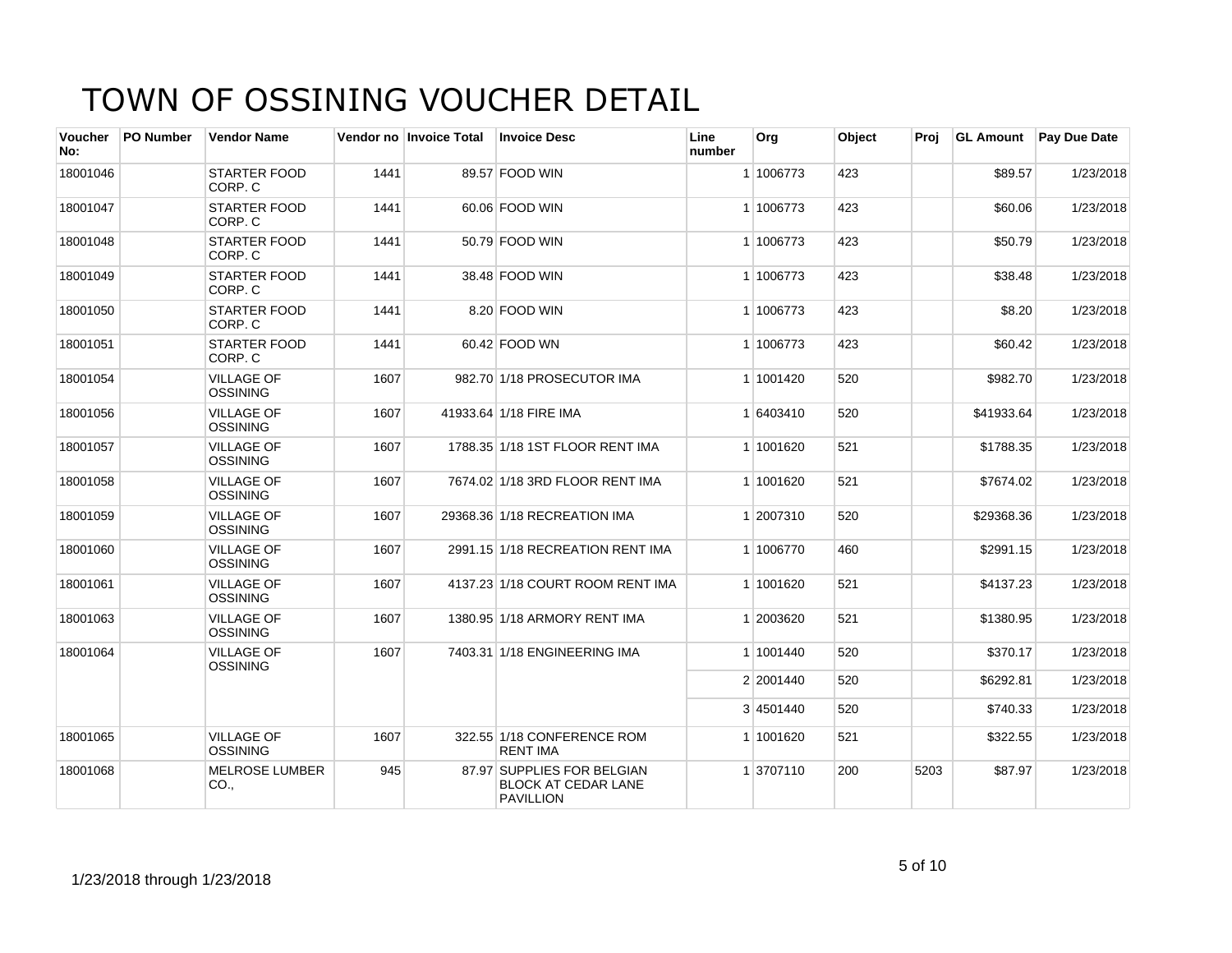| <b>Voucher</b><br>No: | <b>PO Number</b> | <b>Vendor Name</b>                   |      | Vendor no Invoice Total | <b>Invoice Desc</b>                                                          | Line<br>number | Org       | Object | Proj | <b>GL Amount</b> | <b>Pay Due Date</b> |
|-----------------------|------------------|--------------------------------------|------|-------------------------|------------------------------------------------------------------------------|----------------|-----------|--------|------|------------------|---------------------|
| 18001046              |                  | <b>STARTER FOOD</b><br>CORP. C       | 1441 |                         | 89.57 FOOD WIN                                                               |                | 1 1006773 | 423    |      | \$89.57          | 1/23/2018           |
| 18001047              |                  | <b>STARTER FOOD</b><br>CORP. C       | 1441 |                         | 60.06 FOOD WIN                                                               |                | 1 1006773 | 423    |      | \$60.06          | 1/23/2018           |
| 18001048              |                  | <b>STARTER FOOD</b><br>CORP. C       | 1441 |                         | 50.79 FOOD WIN                                                               |                | 1 1006773 | 423    |      | \$50.79          | 1/23/2018           |
| 18001049              |                  | <b>STARTER FOOD</b><br>CORP. C       | 1441 |                         | 38.48 FOOD WIN                                                               |                | 1 1006773 | 423    |      | \$38.48          | 1/23/2018           |
| 18001050              |                  | <b>STARTER FOOD</b><br>CORP. C       | 1441 |                         | 8.20 FOOD WIN                                                                |                | 1 1006773 | 423    |      | \$8.20           | 1/23/2018           |
| 18001051              |                  | <b>STARTER FOOD</b><br>CORP. C       | 1441 |                         | 60.42 FOOD WN                                                                |                | 1 1006773 | 423    |      | \$60.42          | 1/23/2018           |
| 18001054              |                  | <b>VILLAGE OF</b><br><b>OSSINING</b> | 1607 |                         | 982.70 1/18 PROSECUTOR IMA                                                   |                | 1 1001420 | 520    |      | \$982.70         | 1/23/2018           |
| 18001056              |                  | <b>VILLAGE OF</b><br><b>OSSINING</b> | 1607 |                         | 41933.64 1/18 FIRE IMA                                                       |                | 1 6403410 | 520    |      | \$41933.64       | 1/23/2018           |
| 18001057              |                  | <b>VILLAGE OF</b><br><b>OSSINING</b> | 1607 |                         | 1788.35 1/18 1ST FLOOR RENT IMA                                              |                | 1 1001620 | 521    |      | \$1788.35        | 1/23/2018           |
| 18001058              |                  | <b>VILLAGE OF</b><br>OSSINING        | 1607 |                         | 7674.02 1/18 3RD FLOOR RENT IMA                                              |                | 1 1001620 | 521    |      | \$7674.02        | 1/23/2018           |
| 18001059              |                  | <b>VILLAGE OF</b><br><b>OSSINING</b> | 1607 |                         | 29368.36 1/18 RECREATION IMA                                                 |                | 1 2007310 | 520    |      | \$29368.36       | 1/23/2018           |
| 18001060              |                  | <b>VILLAGE OF</b><br><b>OSSINING</b> | 1607 |                         | 2991.15 1/18 RECREATION RENT IMA                                             |                | 1 1006770 | 460    |      | \$2991.15        | 1/23/2018           |
| 18001061              |                  | <b>VILLAGE OF</b><br><b>OSSINING</b> | 1607 |                         | 4137.23 1/18 COURT ROOM RENT IMA                                             |                | 1 1001620 | 521    |      | \$4137.23        | 1/23/2018           |
| 18001063              |                  | <b>VILLAGE OF</b><br><b>OSSINING</b> | 1607 |                         | 1380.95 1/18 ARMORY RENT IMA                                                 |                | 1 2003620 | 521    |      | \$1380.95        | 1/23/2018           |
| 18001064              |                  | <b>VILLAGE OF</b><br><b>OSSINING</b> | 1607 |                         | 7403.31 1/18 ENGINEERING IMA                                                 |                | 1 1001440 | 520    |      | \$370.17         | 1/23/2018           |
|                       |                  |                                      |      |                         |                                                                              |                | 2 2001440 | 520    |      | \$6292.81        | 1/23/2018           |
|                       |                  |                                      |      |                         |                                                                              |                | 3 4501440 | 520    |      | \$740.33         | 1/23/2018           |
| 18001065              |                  | <b>VILLAGE OF</b><br><b>OSSINING</b> | 1607 |                         | 322.55 1/18 CONFERENCE ROM<br><b>RENT IMA</b>                                |                | 1 1001620 | 521    |      | \$322.55         | 1/23/2018           |
| 18001068              |                  | <b>MELROSE LUMBER</b><br>CO.,        | 945  |                         | 87.97 SUPPLIES FOR BELGIAN<br><b>BLOCK AT CEDAR LANE</b><br><b>PAVILLION</b> |                | 1 3707110 | 200    | 5203 | \$87.97          | 1/23/2018           |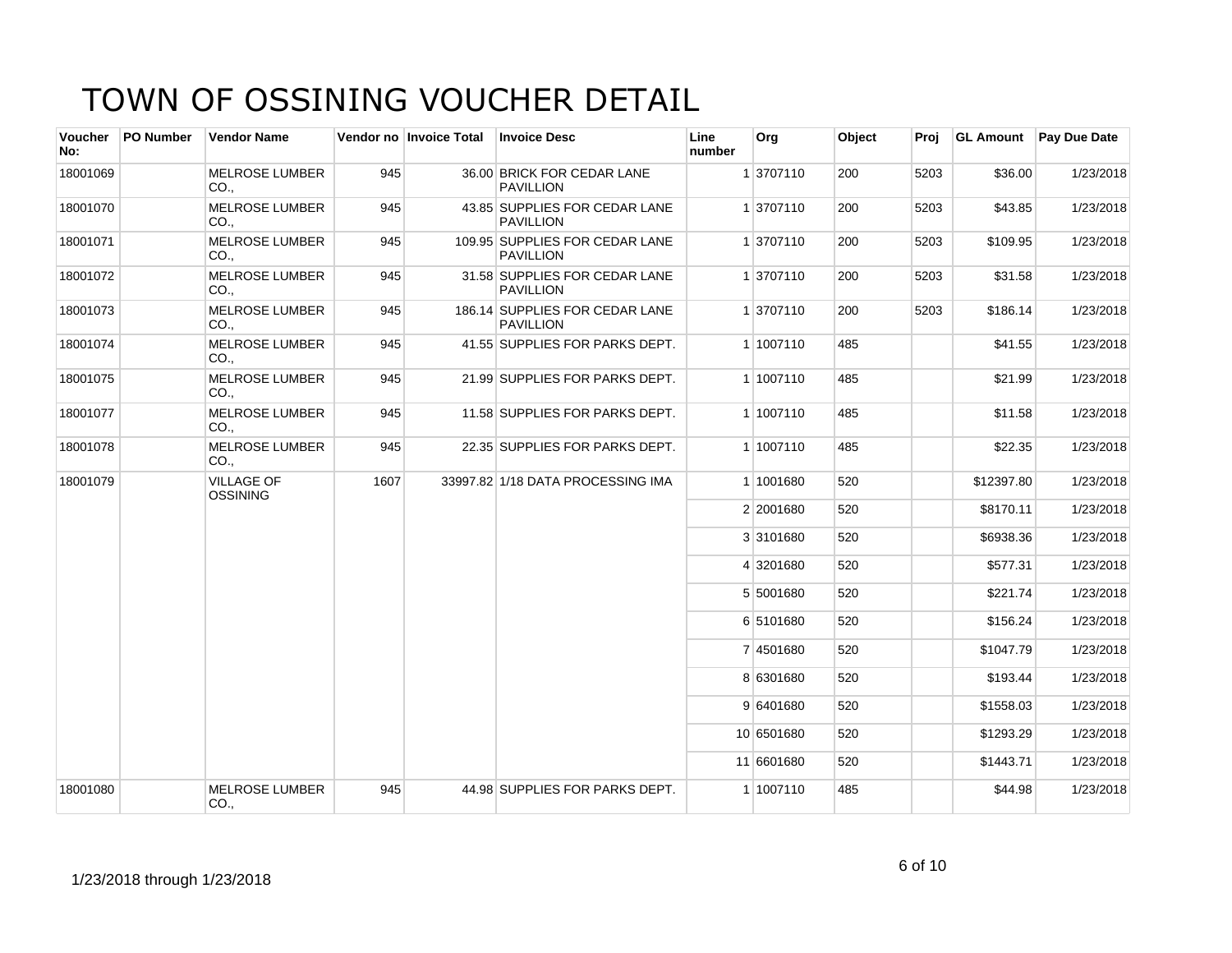| <b>Voucher</b><br>No: | <b>PO Number</b> | <b>Vendor Name</b>                       |      | Vendor no Invoice Total | <b>Invoice Desc</b>                                | Line<br>number | Org        | Object | Proj | <b>GL Amount</b> | <b>Pay Due Date</b> |
|-----------------------|------------------|------------------------------------------|------|-------------------------|----------------------------------------------------|----------------|------------|--------|------|------------------|---------------------|
| 18001069              |                  | <b>MELROSE LUMBER</b><br>CO.             | 945  |                         | 36.00 BRICK FOR CEDAR LANE<br><b>PAVILLION</b>     |                | 1 3707110  | 200    | 5203 | \$36.00          | 1/23/2018           |
| 18001070              |                  | <b>MELROSE LUMBER</b><br>CO.,            | 945  |                         | 43.85 SUPPLIES FOR CEDAR LANE<br><b>PAVILLION</b>  |                | 1 3707110  | 200    | 5203 | \$43.85          | 1/23/2018           |
| 18001071              |                  | <b>MELROSE LUMBER</b><br>CO.,            | 945  |                         | 109.95 SUPPLIES FOR CEDAR LANE<br><b>PAVILLION</b> |                | 1 3707110  | 200    | 5203 | \$109.95         | 1/23/2018           |
| 18001072              |                  | <b>MELROSE LUMBER</b><br>CO <sub>1</sub> | 945  |                         | 31.58 SUPPLIES FOR CEDAR LANE<br><b>PAVILLION</b>  |                | 1 3707110  | 200    | 5203 | \$31.58          | 1/23/2018           |
| 18001073              |                  | <b>MELROSE LUMBER</b><br>CO.             | 945  |                         | 186.14 SUPPLIES FOR CEDAR LANE<br><b>PAVILLION</b> |                | 1 3707110  | 200    | 5203 | \$186.14         | 1/23/2018           |
| 18001074              |                  | <b>MELROSE LUMBER</b><br>CO.,            | 945  |                         | 41.55 SUPPLIES FOR PARKS DEPT.                     |                | 1 1007110  | 485    |      | \$41.55          | 1/23/2018           |
| 18001075              |                  | <b>MELROSE LUMBER</b><br>CO.,            | 945  |                         | 21.99 SUPPLIES FOR PARKS DEPT.                     |                | 1 1007110  | 485    |      | \$21.99          | 1/23/2018           |
| 18001077              |                  | <b>MELROSE LUMBER</b><br>CO.,            | 945  |                         | 11.58 SUPPLIES FOR PARKS DEPT.                     |                | 1 1007110  | 485    |      | \$11.58          | 1/23/2018           |
| 18001078              |                  | <b>MELROSE LUMBER</b><br>CO.,            | 945  |                         | 22.35 SUPPLIES FOR PARKS DEPT.                     |                | 1 1007110  | 485    |      | \$22.35          | 1/23/2018           |
| 18001079              |                  | <b>VILLAGE OF</b><br><b>OSSINING</b>     | 1607 |                         | 33997.82 1/18 DATA PROCESSING IMA                  |                | 1 1001680  | 520    |      | \$12397.80       | 1/23/2018           |
|                       |                  |                                          |      |                         |                                                    |                | 2 2001680  | 520    |      | \$8170.11        | 1/23/2018           |
|                       |                  |                                          |      |                         |                                                    |                | 3 3101680  | 520    |      | \$6938.36        | 1/23/2018           |
|                       |                  |                                          |      |                         |                                                    |                | 4 3201680  | 520    |      | \$577.31         | 1/23/2018           |
|                       |                  |                                          |      |                         |                                                    |                | 5 5001680  | 520    |      | \$221.74         | 1/23/2018           |
|                       |                  |                                          |      |                         |                                                    |                | 6 5101680  | 520    |      | \$156.24         | 1/23/2018           |
|                       |                  |                                          |      |                         |                                                    |                | 7 4501680  | 520    |      | \$1047.79        | 1/23/2018           |
|                       |                  |                                          |      |                         |                                                    |                | 8 6301680  | 520    |      | \$193.44         | 1/23/2018           |
|                       |                  |                                          |      |                         |                                                    |                | 9 6401680  | 520    |      | \$1558.03        | 1/23/2018           |
|                       |                  |                                          |      |                         |                                                    |                | 10 6501680 | 520    |      | \$1293.29        | 1/23/2018           |
|                       |                  |                                          |      |                         |                                                    |                | 11 6601680 | 520    |      | \$1443.71        | 1/23/2018           |
| 18001080              |                  | <b>MELROSE LUMBER</b><br>CO.,            | 945  |                         | 44.98 SUPPLIES FOR PARKS DEPT.                     |                | 1 1007110  | 485    |      | \$44.98          | 1/23/2018           |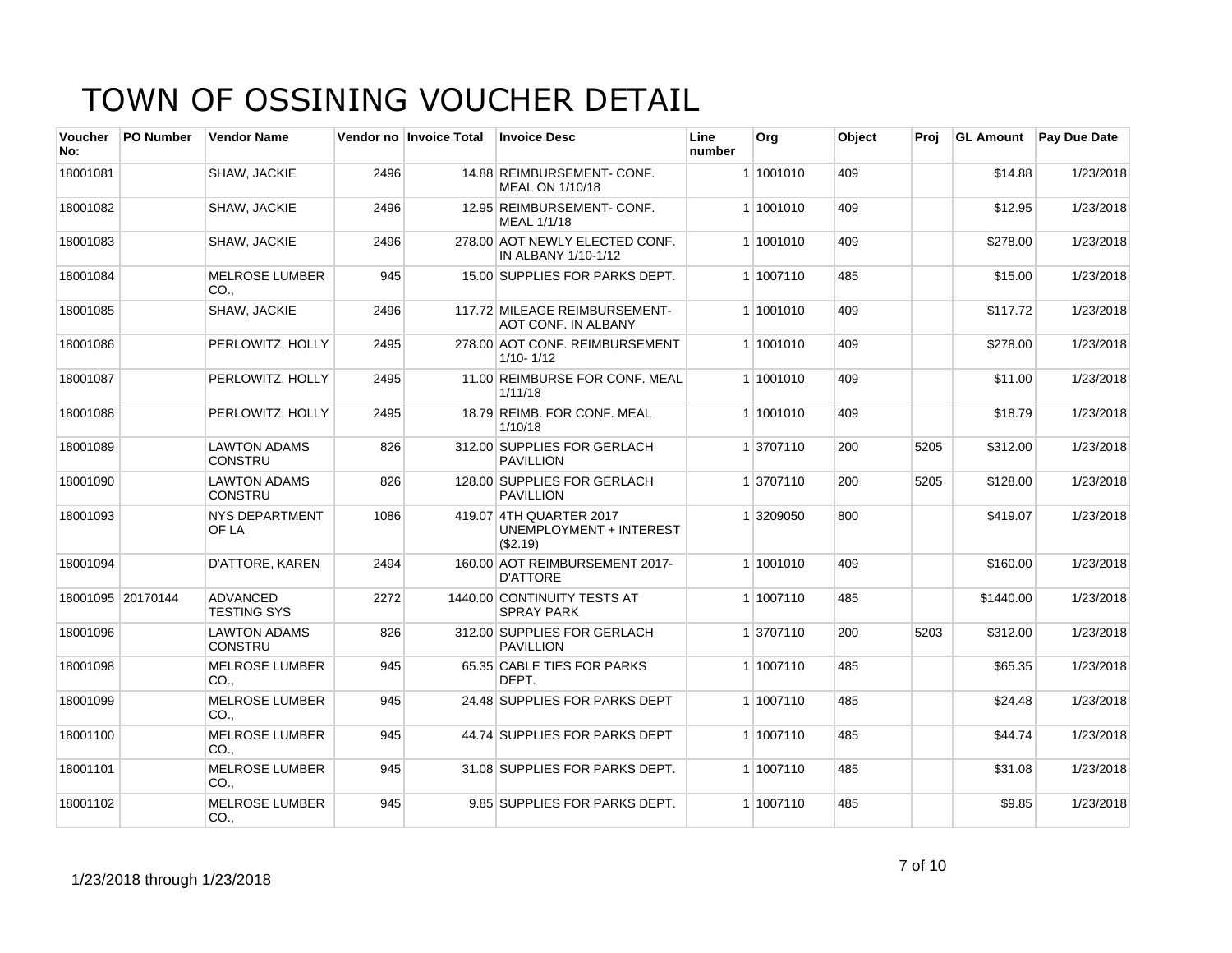| <b>Voucher</b><br>No: | <b>PO Number</b>  | <b>Vendor Name</b>                    |      | Vendor no   Invoice Total | <b>Invoice Desc</b>                                            | Line<br>number | Org       | Object | Proj | <b>GL Amount</b> | <b>Pay Due Date</b> |
|-----------------------|-------------------|---------------------------------------|------|---------------------------|----------------------------------------------------------------|----------------|-----------|--------|------|------------------|---------------------|
| 18001081              |                   | SHAW, JACKIE                          | 2496 |                           | 14.88 REIMBURSEMENT- CONF.<br>MEAL ON 1/10/18                  |                | 1 1001010 | 409    |      | \$14.88          | 1/23/2018           |
| 18001082              |                   | SHAW, JACKIE                          | 2496 |                           | 12.95 REIMBURSEMENT-CONF.<br>MEAL 1/1/18                       |                | 1 1001010 | 409    |      | \$12.95          | 1/23/2018           |
| 18001083              |                   | SHAW, JACKIE                          | 2496 |                           | 278.00 AOT NEWLY ELECTED CONF.<br>IN ALBANY 1/10-1/12          |                | 1 1001010 | 409    |      | \$278.00         | 1/23/2018           |
| 18001084              |                   | <b>MELROSE LUMBER</b><br>CO.          | 945  |                           | 15.00 SUPPLIES FOR PARKS DEPT.                                 |                | 1 1007110 | 485    |      | \$15.00          | 1/23/2018           |
| 18001085              |                   | SHAW, JACKIE                          | 2496 |                           | 117.72 MILEAGE REIMBURSEMENT-<br><b>AOT CONF. IN ALBANY</b>    |                | 1 1001010 | 409    |      | \$117.72         | 1/23/2018           |
| 18001086              |                   | PERLOWITZ, HOLLY                      | 2495 |                           | 278.00 AOT CONF. REIMBURSEMENT<br>$1/10 - 1/12$                |                | 1 1001010 | 409    |      | \$278.00         | 1/23/2018           |
| 18001087              |                   | PERLOWITZ, HOLLY                      | 2495 |                           | 11.00 REIMBURSE FOR CONF. MEAL<br>1/11/18                      |                | 1 1001010 | 409    |      | \$11.00          | 1/23/2018           |
| 18001088              |                   | PERLOWITZ, HOLLY                      | 2495 |                           | 18.79 REIMB, FOR CONF, MEAL<br>1/10/18                         |                | 1 1001010 | 409    |      | \$18.79          | 1/23/2018           |
| 18001089              |                   | <b>LAWTON ADAMS</b><br><b>CONSTRU</b> | 826  |                           | 312.00 SUPPLIES FOR GERLACH<br><b>PAVILLION</b>                |                | 1 3707110 | 200    | 5205 | \$312.00         | 1/23/2018           |
| 18001090              |                   | <b>LAWTON ADAMS</b><br><b>CONSTRU</b> | 826  |                           | 128.00 SUPPLIES FOR GERLACH<br><b>PAVILLION</b>                |                | 1 3707110 | 200    | 5205 | \$128.00         | 1/23/2018           |
| 18001093              |                   | <b>NYS DEPARTMENT</b><br>OF LA        | 1086 |                           | 419.07 4TH QUARTER 2017<br>UNEMPLOYMENT + INTEREST<br>(\$2.19) |                | 1 3209050 | 800    |      | \$419.07         | 1/23/2018           |
| 18001094              |                   | D'ATTORE, KAREN                       | 2494 |                           | 160.00 AOT REIMBURSEMENT 2017-<br><b>D'ATTORE</b>              |                | 1 1001010 | 409    |      | \$160.00         | 1/23/2018           |
|                       | 18001095 20170144 | <b>ADVANCED</b><br><b>TESTING SYS</b> | 2272 |                           | 1440.00 CONTINUITY TESTS AT<br><b>SPRAY PARK</b>               |                | 1 1007110 | 485    |      | \$1440.00        | 1/23/2018           |
| 18001096              |                   | <b>LAWTON ADAMS</b><br><b>CONSTRU</b> | 826  |                           | 312.00 SUPPLIES FOR GERLACH<br><b>PAVILLION</b>                |                | 1 3707110 | 200    | 5203 | \$312.00         | 1/23/2018           |
| 18001098              |                   | <b>MELROSE LUMBER</b><br>CO.,         | 945  |                           | 65.35 CABLE TIES FOR PARKS<br>DEPT.                            |                | 1 1007110 | 485    |      | \$65.35          | 1/23/2018           |
| 18001099              |                   | <b>MELROSE LUMBER</b><br>CO.,         | 945  |                           | 24.48 SUPPLIES FOR PARKS DEPT                                  |                | 1 1007110 | 485    |      | \$24.48          | 1/23/2018           |
| 18001100              |                   | <b>MELROSE LUMBER</b><br>CO.,         | 945  |                           | 44.74 SUPPLIES FOR PARKS DEPT                                  |                | 1 1007110 | 485    |      | \$44.74          | 1/23/2018           |
| 18001101              |                   | <b>MELROSE LUMBER</b><br>CO.,         | 945  |                           | 31.08 SUPPLIES FOR PARKS DEPT.                                 |                | 1 1007110 | 485    |      | \$31.08          | 1/23/2018           |
| 18001102              |                   | <b>MELROSE LUMBER</b><br>CO.,         | 945  |                           | 9.85 SUPPLIES FOR PARKS DEPT.                                  |                | 1 1007110 | 485    |      | \$9.85           | 1/23/2018           |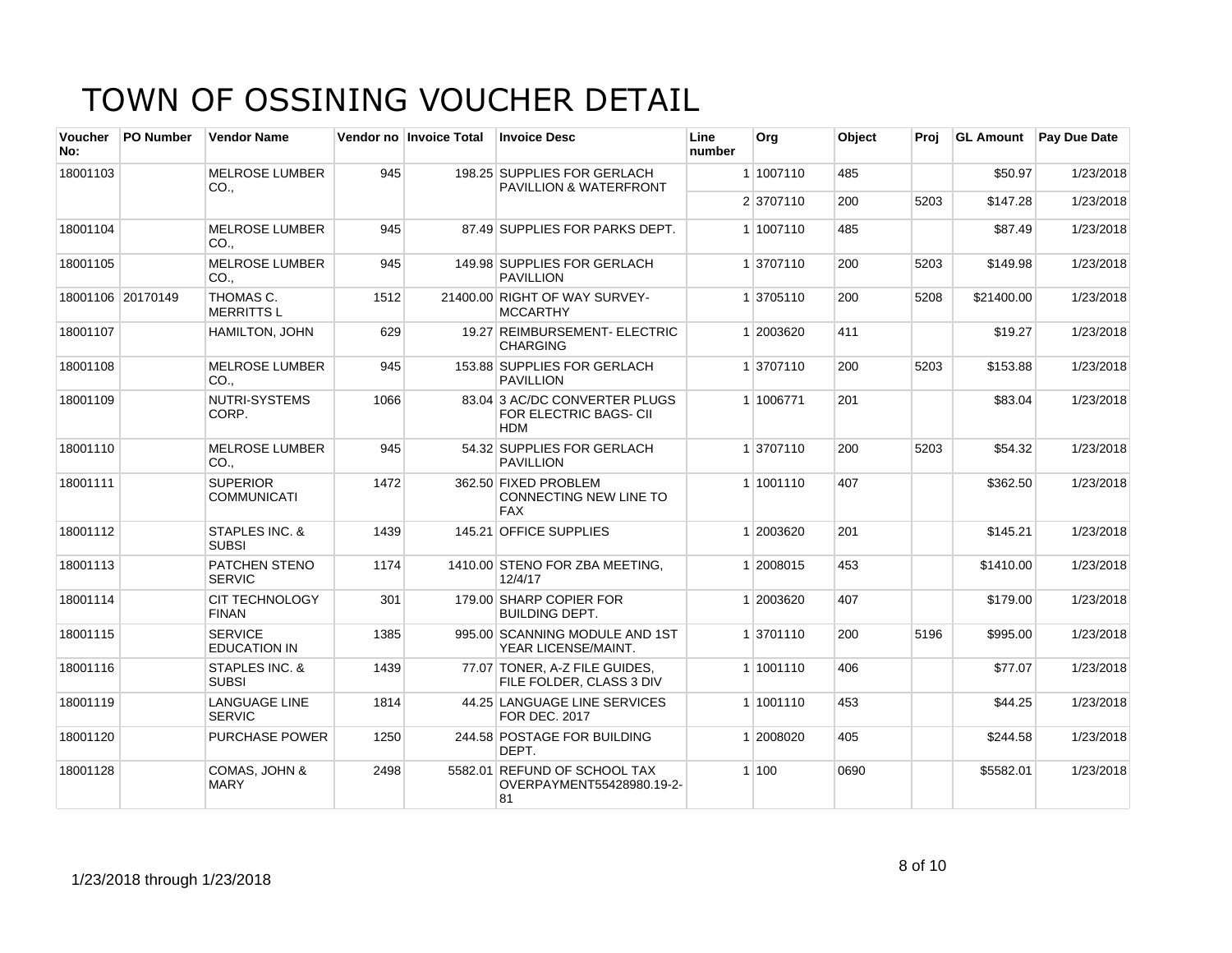| <b>Voucher</b><br>No: | <b>PO Number</b>  | <b>Vendor Name</b>                       |      | Vendor no Invoice Total | <b>Invoice Desc</b>                                                   | Line<br>number | Org       | Object | Proi |            | <b>GL Amount</b> Pay Due Date |
|-----------------------|-------------------|------------------------------------------|------|-------------------------|-----------------------------------------------------------------------|----------------|-----------|--------|------|------------|-------------------------------|
| 18001103              |                   | <b>MELROSE LUMBER</b><br>CO.,            | 945  |                         | 198.25 SUPPLIES FOR GERLACH<br><b>PAVILLION &amp; WATERFRONT</b>      |                | 1 1007110 | 485    |      | \$50.97    | 1/23/2018                     |
|                       |                   |                                          |      |                         |                                                                       |                | 2 3707110 | 200    | 5203 | \$147.28   | 1/23/2018                     |
| 18001104              |                   | <b>MELROSE LUMBER</b><br>CO.,            | 945  |                         | 87.49 SUPPLIES FOR PARKS DEPT.                                        |                | 1 1007110 | 485    |      | \$87.49    | 1/23/2018                     |
| 18001105              |                   | <b>MELROSE LUMBER</b><br>CO.,            | 945  |                         | 149.98 SUPPLIES FOR GERLACH<br><b>PAVILLION</b>                       |                | 1 3707110 | 200    | 5203 | \$149.98   | 1/23/2018                     |
|                       | 18001106 20170149 | THOMAS C.<br><b>MERRITTSL</b>            | 1512 |                         | 21400.00 RIGHT OF WAY SURVEY-<br><b>MCCARTHY</b>                      |                | 1 3705110 | 200    | 5208 | \$21400.00 | 1/23/2018                     |
| 18001107              |                   | HAMILTON, JOHN                           | 629  |                         | 19.27 REIMBURSEMENT- ELECTRIC<br><b>CHARGING</b>                      |                | 1 2003620 | 411    |      | \$19.27    | 1/23/2018                     |
| 18001108              |                   | <b>MELROSE LUMBER</b><br>CO <sub>1</sub> | 945  |                         | 153.88 SUPPLIES FOR GERLACH<br><b>PAVILLION</b>                       |                | 1 3707110 | 200    | 5203 | \$153.88   | 1/23/2018                     |
| 18001109              |                   | NUTRI-SYSTEMS<br>CORP.                   | 1066 |                         | 83.04 3 AC/DC CONVERTER PLUGS<br>FOR ELECTRIC BAGS- CII<br><b>HDM</b> |                | 1 1006771 | 201    |      | \$83.04    | 1/23/2018                     |
| 18001110              |                   | <b>MELROSE LUMBER</b><br>CO.,            | 945  |                         | 54.32 SUPPLIES FOR GERLACH<br><b>PAVILLION</b>                        |                | 1 3707110 | 200    | 5203 | \$54.32    | 1/23/2018                     |
| 18001111              |                   | <b>SUPERIOR</b><br><b>COMMUNICATI</b>    | 1472 |                         | 362.50 FIXED PROBLEM<br>CONNECTING NEW LINE TO<br><b>FAX</b>          |                | 1 1001110 | 407    |      | \$362.50   | 1/23/2018                     |
| 18001112              |                   | STAPLES INC. &<br><b>SUBSI</b>           | 1439 |                         | 145.21 OFFICE SUPPLIES                                                |                | 1 2003620 | 201    |      | \$145.21   | 1/23/2018                     |
| 18001113              |                   | PATCHEN STENO<br><b>SERVIC</b>           | 1174 |                         | 1410.00 STENO FOR ZBA MEETING,<br>12/4/17                             |                | 1 2008015 | 453    |      | \$1410.00  | 1/23/2018                     |
| 18001114              |                   | <b>CIT TECHNOLOGY</b><br><b>FINAN</b>    | 301  |                         | 179.00 SHARP COPIER FOR<br><b>BUILDING DEPT.</b>                      |                | 1 2003620 | 407    |      | \$179.00   | 1/23/2018                     |
| 18001115              |                   | <b>SERVICE</b><br><b>EDUCATION IN</b>    | 1385 |                         | 995.00 SCANNING MODULE AND 1ST<br>YEAR LICENSE/MAINT.                 |                | 1 3701110 | 200    | 5196 | \$995.00   | 1/23/2018                     |
| 18001116              |                   | STAPLES INC. &<br><b>SUBSI</b>           | 1439 |                         | 77.07 TONER, A-Z FILE GUIDES,<br>FILE FOLDER, CLASS 3 DIV             |                | 1 1001110 | 406    |      | \$77.07    | 1/23/2018                     |
| 18001119              |                   | <b>LANGUAGE LINE</b><br><b>SERVIC</b>    | 1814 |                         | 44.25 LANGUAGE LINE SERVICES<br><b>FOR DEC. 2017</b>                  |                | 1 1001110 | 453    |      | \$44.25    | 1/23/2018                     |
| 18001120              |                   | <b>PURCHASE POWER</b>                    | 1250 |                         | 244.58 POSTAGE FOR BUILDING<br>DEPT.                                  |                | 1 2008020 | 405    |      | \$244.58   | 1/23/2018                     |
| 18001128              |                   | COMAS, JOHN &<br><b>MARY</b>             | 2498 |                         | 5582.01 REFUND OF SCHOOL TAX<br>OVERPAYMENT55428980.19-2-<br>81       |                | 1 100     | 0690   |      | \$5582.01  | 1/23/2018                     |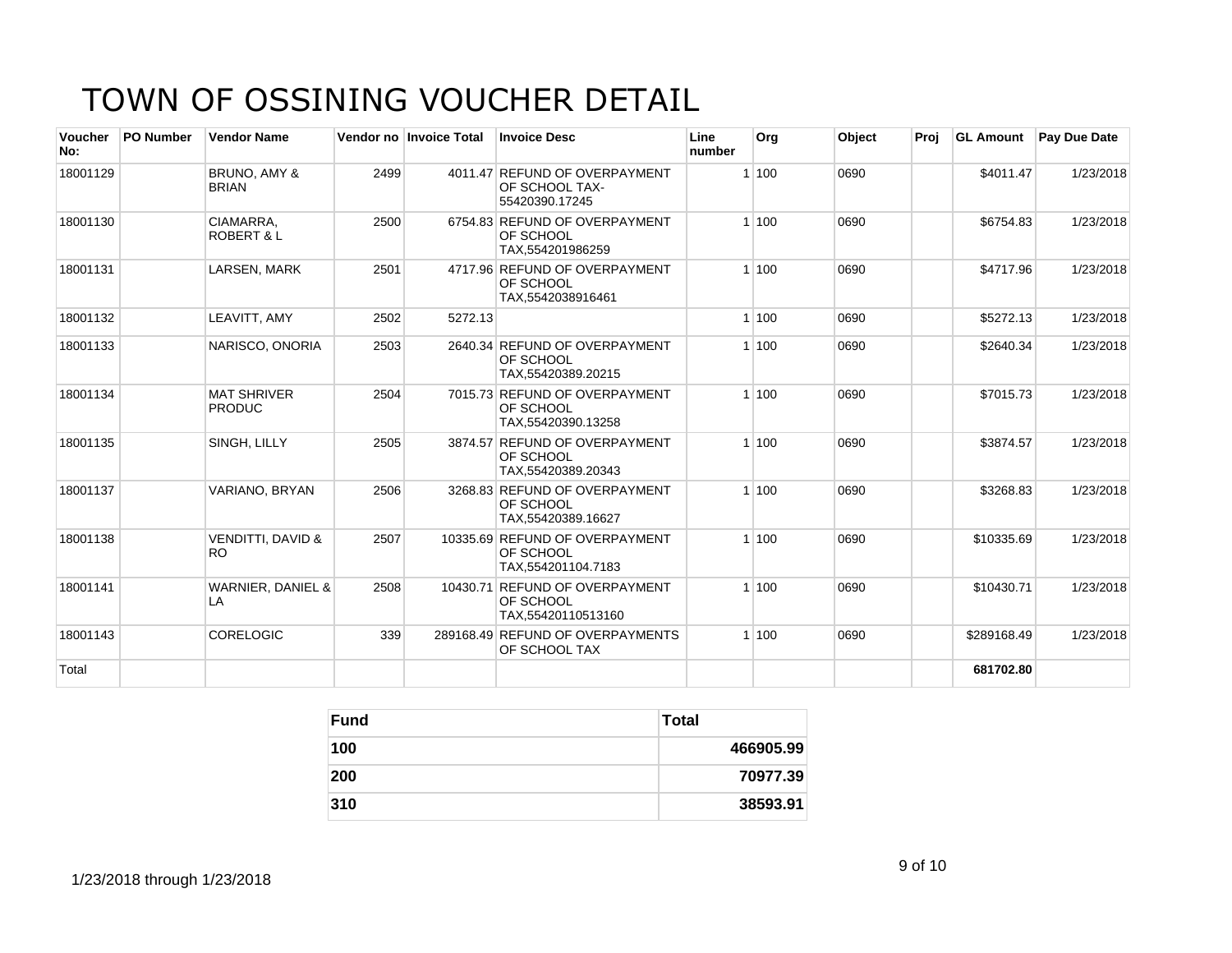| Voucher<br>No: | <b>PO Number</b> | <b>Vendor Name</b>                  |      | Vendor no Invoice Total | <b>Invoice Desc</b>                                                       | Line<br>number | Org   | Object | Proi | <b>GL Amount</b> | <b>Pav Due Date</b> |
|----------------|------------------|-------------------------------------|------|-------------------------|---------------------------------------------------------------------------|----------------|-------|--------|------|------------------|---------------------|
| 18001129       |                  | BRUNO, AMY &<br><b>BRIAN</b>        | 2499 |                         | 4011.47 REFUND OF OVERPAYMENT<br>OF SCHOOL TAX-<br>55420390.17245         |                | 1 100 | 0690   |      | \$4011.47        | 1/23/2018           |
| 18001130       |                  | CIAMARRA.<br><b>ROBERT &amp; L</b>  | 2500 |                         | 6754.83 REFUND OF OVERPAYMENT<br><b>OF SCHOOL</b><br>TAX.554201986259     |                | 1 100 | 0690   |      | \$6754.83        | 1/23/2018           |
| 18001131       |                  | LARSEN, MARK                        | 2501 |                         | 4717.96 REFUND OF OVERPAYMENT<br><b>OF SCHOOL</b><br>TAX,5542038916461    |                | 1 100 | 0690   |      | \$4717.96        | 1/23/2018           |
| 18001132       |                  | LEAVITT, AMY                        | 2502 | 5272.13                 |                                                                           |                | 1 100 | 0690   |      | \$5272.13        | 1/23/2018           |
| 18001133       |                  | NARISCO, ONORIA                     | 2503 |                         | 2640.34 REFUND OF OVERPAYMENT<br><b>OF SCHOOL</b><br>TAX,55420389.20215   |                | 1100  | 0690   |      | \$2640.34        | 1/23/2018           |
| 18001134       |                  | <b>MAT SHRIVER</b><br><b>PRODUC</b> | 2504 |                         | 7015.73 REFUND OF OVERPAYMENT<br>OF SCHOOL<br>TAX.55420390.13258          |                | 1 100 | 0690   |      | \$7015.73        | 1/23/2018           |
| 18001135       |                  | SINGH, LILLY                        | 2505 |                         | 3874.57 REFUND OF OVERPAYMENT<br><b>OF SCHOOL</b><br>TAX.55420389.20343   |                | 1 100 | 0690   |      | \$3874.57        | 1/23/2018           |
| 18001137       |                  | VARIANO, BRYAN                      | 2506 |                         | 3268.83 REFUND OF OVERPAYMENT<br><b>OF SCHOOL</b><br>TAX, 55420389.16627  |                | 1 100 | 0690   |      | \$3268.83        | 1/23/2018           |
| 18001138       |                  | <b>VENDITTI, DAVID &amp;</b><br>RO. | 2507 |                         | 10335.69 REFUND OF OVERPAYMENT<br><b>OF SCHOOL</b><br>TAX, 554201104.7183 |                | 1 100 | 0690   |      | \$10335.69       | 1/23/2018           |
| 18001141       |                  | WARNIER, DANIEL &<br>LA             | 2508 |                         | 10430.71 REFUND OF OVERPAYMENT<br><b>OF SCHOOL</b><br>TAX,55420110513160  |                | 1 100 | 0690   |      | \$10430.71       | 1/23/2018           |
| 18001143       |                  | <b>CORELOGIC</b>                    | 339  |                         | 289168.49 REFUND OF OVERPAYMENTS<br>OF SCHOOL TAX                         |                | 1100  | 0690   |      | \$289168.49      | 1/23/2018           |
| Total          |                  |                                     |      |                         |                                                                           |                |       |        |      | 681702.80        |                     |

| <b>Fund</b> | <b>Total</b> |
|-------------|--------------|
| 100         | 466905.99    |
| 200         | 70977.39     |
| 310         | 38593.91     |